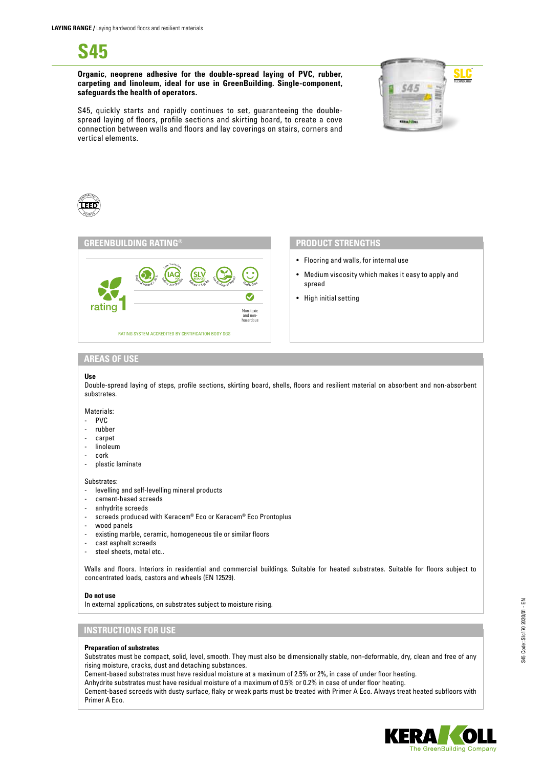**S45**

**Organic, neoprene adhesive for the double-spread laying of PVC, rubber, carpeting and linoleum, ideal for use in GreenBuilding. Single-component, safeguards the health of operators.**



S45, quickly starts and rapidly continues to set, guaranteeing the doublespread laying of floors, profile sections and skirting board, to create a cove connection between walls and floors and lay coverings on stairs, corners and vertical elements.





- Flooring and walls, for internal use
- Medium viscosity which makes it easy to apply and spread
- High initial setting

# **AREAS OF USE**

#### **Use**

Double-spread laying of steps, profile sections, skirting board, shells, floors and resilient material on absorbent and non-absorbent substrates.

#### Materials:

- PVC
- rubber
- carpet
- linoleum
- cork
- plastic laminate

Substrates:

- levelling and self-levelling mineral products
- cement-based screeds
- anhydrite screeds
- screeds produced with Keracem® Eco or Keracem® Eco Prontoplus
- wood panels
- existing marble, ceramic, homogeneous tile or similar floors
- cast asphalt screeds
- steel sheets, metal etc..

Walls and floors. Interiors in residential and commercial buildings. Suitable for heated substrates. Suitable for floors subject to concentrated loads, castors and wheels (EN 12529).

#### **Do not use**

In external applications, on substrates subject to moisture rising.

# **INSTRUCTIONS FOR USE**

## **Preparation of substrates**

Substrates must be compact, solid, level, smooth. They must also be dimensionally stable, non-deformable, dry, clean and free of any rising moisture, cracks, dust and detaching substances.

Cement-based substrates must have residual moisture at a maximum of 2.5% or 2%, in case of under floor heating.

Anhydrite substrates must have residual moisture of a maximum of 0.5% or 0.2% in case of under floor heating.

Cement-based screeds with dusty surface, flaky or weak parts must be treated with Primer A Eco. Always treat heated subfloors with Primer A Eco.

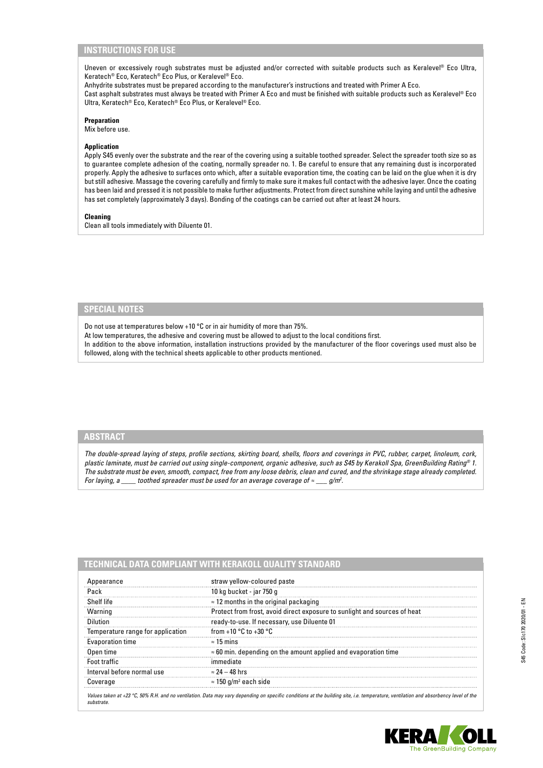# **INSTRUCTIONS FOR USE**

Uneven or excessively rough substrates must be adjusted and/or corrected with suitable products such as Keralevel® Eco Ultra, Keratech® Eco, Keratech® Eco Plus, or Keralevel® Eco.

Anhydrite substrates must be prepared according to the manufacturer's instructions and treated with Primer A Eco. Cast asphalt substrates must always be treated with Primer A Eco and must be finished with suitable products such as Keralevel® Eco Ultra, Keratech® Eco, Keratech® Eco Plus, or Keralevel® Eco.

# **Preparation**

Mix before use.

## **Application**

Apply S45 evenly over the substrate and the rear of the covering using a suitable toothed spreader. Select the spreader tooth size so as to guarantee complete adhesion of the coating, normally spreader no. 1. Be careful to ensure that any remaining dust is incorporated properly. Apply the adhesive to surfaces onto which, after a suitable evaporation time, the coating can be laid on the glue when it is dry but still adhesive. Massage the covering carefully and firmly to make sure it makes full contact with the adhesive layer. Once the coating has been laid and pressed it is not possible to make further adjustments. Protect from direct sunshine while laying and until the adhesive has set completely (approximately 3 days). Bonding of the coatings can be carried out after at least 24 hours.

## **Cleaning**

Clean all tools immediately with Diluente 01.

# **SPECIAL NOTES**

Do not use at temperatures below +10 °C or in air humidity of more than 75%.

At low temperatures, the adhesive and covering must be allowed to adjust to the local conditions first.

In addition to the above information, installation instructions provided by the manufacturer of the floor coverings used must also be followed, along with the technical sheets applicable to other products mentioned.

# **ABSTRACT**

*The double-spread laying of steps, profile sections, skirting board, shells, floors and coverings in PVC, rubber, carpet, linoleum, cork, plastic laminate, must be carried out using single-component, organic adhesive, such as S45 by Kerakoll Spa, GreenBuilding Rating® 1. The substrate must be even, smooth, compact, free from any loose debris, clean and cured, and the shrinkage stage already completed. For laying, a \_\_\_\_ toothed spreader must be used for an average coverage of ≈ \_\_\_ g/m2 .*

| Appearance                        | straw yellow-coloured paste                                               |
|-----------------------------------|---------------------------------------------------------------------------|
| Pack                              | 10 kg bucket - jar 750 g                                                  |
| Shelf life                        | $\approx$ 12 months in the original packaging                             |
| Warning                           | Protect from frost, avoid direct exposure to sunlight and sources of heat |
| Dilution                          | ready-to-use. If necessary, use Diluente 01                               |
| Temperature range for application | from +10 $^{\circ}$ C to +30 $^{\circ}$ C                                 |
| <b>Evaporation time</b>           | $\approx$ 15 mins                                                         |
| Open time                         | $\approx$ 60 min. depending on the amount applied and evaporation time    |
| Foot traffic                      | immediate                                                                 |
| Interval before normal use        | $\approx 24-48$ hrs                                                       |
| Coverage                          | $\approx$ 150 g/m <sup>2</sup> each side                                  |